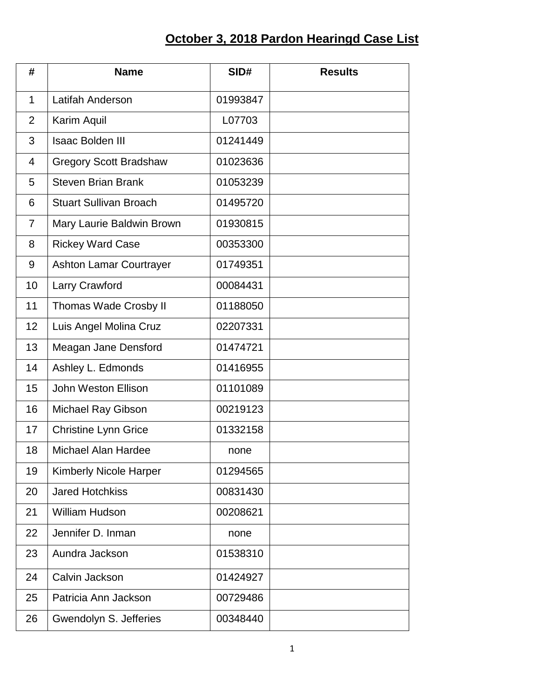## **October 3, 2018 Pardon Hearingd Case List**

| #              | <b>Name</b>                    | SID#     | <b>Results</b> |
|----------------|--------------------------------|----------|----------------|
| $\mathbf{1}$   | <b>Latifah Anderson</b>        | 01993847 |                |
| $\overline{2}$ | Karim Aquil                    | L07703   |                |
| 3              | <b>Isaac Bolden III</b>        | 01241449 |                |
| $\overline{4}$ | <b>Gregory Scott Bradshaw</b>  | 01023636 |                |
| 5              | <b>Steven Brian Brank</b>      | 01053239 |                |
| 6              | <b>Stuart Sullivan Broach</b>  | 01495720 |                |
| $\overline{7}$ | Mary Laurie Baldwin Brown      | 01930815 |                |
| 8              | <b>Rickey Ward Case</b>        | 00353300 |                |
| 9              | <b>Ashton Lamar Courtrayer</b> | 01749351 |                |
| 10             | Larry Crawford                 | 00084431 |                |
| 11             | Thomas Wade Crosby II          | 01188050 |                |
| 12             | Luis Angel Molina Cruz         | 02207331 |                |
| 13             | Meagan Jane Densford           | 01474721 |                |
| 14             | Ashley L. Edmonds              | 01416955 |                |
| 15             | <b>John Weston Ellison</b>     | 01101089 |                |
| 16             | Michael Ray Gibson             | 00219123 |                |
| 17             | <b>Christine Lynn Grice</b>    | 01332158 |                |
| 18             | <b>Michael Alan Hardee</b>     | none     |                |
| 19             | <b>Kimberly Nicole Harper</b>  | 01294565 |                |
| 20             | <b>Jared Hotchkiss</b>         | 00831430 |                |
| 21             | <b>William Hudson</b>          | 00208621 |                |
| 22             | Jennifer D. Inman              | none     |                |
| 23             | Aundra Jackson                 | 01538310 |                |
| 24             | Calvin Jackson                 | 01424927 |                |
| 25             | Patricia Ann Jackson           | 00729486 |                |
| 26             | Gwendolyn S. Jefferies         | 00348440 |                |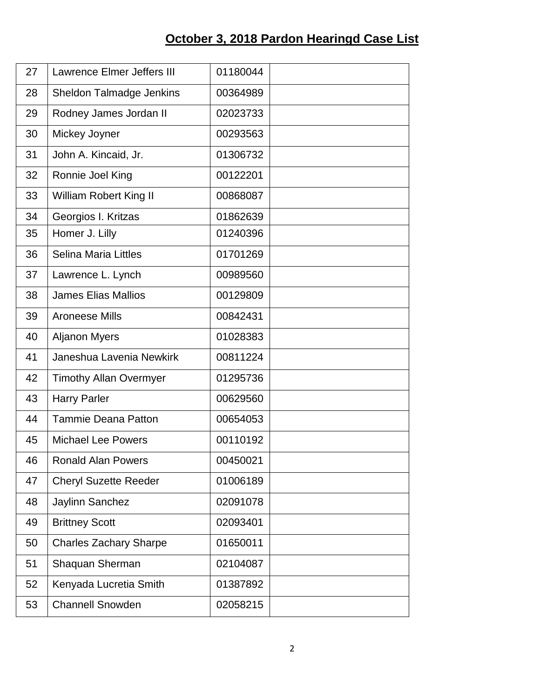## **October 3, 2018 Pardon Hearingd Case List**

| 27 | Lawrence Elmer Jeffers III    | 01180044 |
|----|-------------------------------|----------|
| 28 | Sheldon Talmadge Jenkins      | 00364989 |
| 29 | Rodney James Jordan II        | 02023733 |
| 30 | Mickey Joyner                 | 00293563 |
| 31 | John A. Kincaid, Jr.          | 01306732 |
| 32 | Ronnie Joel King              | 00122201 |
| 33 | <b>William Robert King II</b> | 00868087 |
| 34 | Georgios I. Kritzas           | 01862639 |
| 35 | Homer J. Lilly                | 01240396 |
| 36 | <b>Selina Maria Littles</b>   | 01701269 |
| 37 | Lawrence L. Lynch             | 00989560 |
| 38 | <b>James Elias Mallios</b>    | 00129809 |
| 39 | Aroneese Mills                | 00842431 |
| 40 | <b>Aljanon Myers</b>          | 01028383 |
| 41 | Janeshua Lavenia Newkirk      | 00811224 |
| 42 | <b>Timothy Allan Overmyer</b> | 01295736 |
| 43 | <b>Harry Parler</b>           | 00629560 |
| 44 | <b>Tammie Deana Patton</b>    | 00654053 |
| 45 | <b>Michael Lee Powers</b>     | 00110192 |
| 46 | <b>Ronald Alan Powers</b>     | 00450021 |
| 47 | <b>Cheryl Suzette Reeder</b>  | 01006189 |
| 48 | Jaylinn Sanchez               | 02091078 |
| 49 | <b>Brittney Scott</b>         | 02093401 |
| 50 | <b>Charles Zachary Sharpe</b> | 01650011 |
| 51 | Shaquan Sherman               | 02104087 |
| 52 | Kenyada Lucretia Smith        | 01387892 |
| 53 | <b>Channell Snowden</b>       | 02058215 |